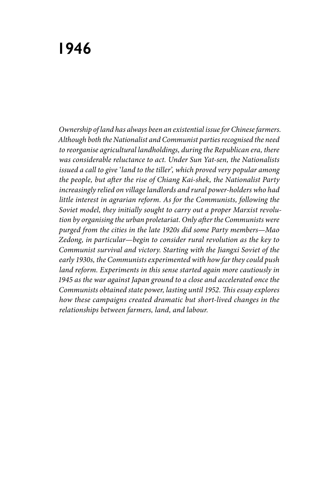# **1946**

*Ownership of land has always been an existential issue for Chinese farmers. Although both the Nationalist and Communist parties recognised the need to reorganise agricultural landholdings, during the Republican era, there was considerable reluctance to act. Under Sun Yat-sen, the Nationalists issued a call to give 'land to the tiller', which proved very popular among the people, but after the rise of Chiang Kai-shek, the Nationalist Party increasingly relied on village landlords and rural power-holders who had little interest in agrarian reform. As for the Communists, following the Soviet model, they initially sought to carry out a proper Marxist revolution by organising the urban proletariat. Only after the Communists were purged from the cities in the late 1920s did some Party members—Mao Zedong, in particular—begin to consider rural revolution as the key to Communist survival and victory. Starting with the Jiangxi Soviet of the early 1930s, the Communists experimented with how far they could push land reform. Experiments in this sense started again more cautiously in 1945 as the war against Japan ground to a close and accelerated once the Communists obtained state power, lasting until 1952. This essay explores how these campaigns created dramatic but short-lived changes in the relationships between farmers, land, and labour.*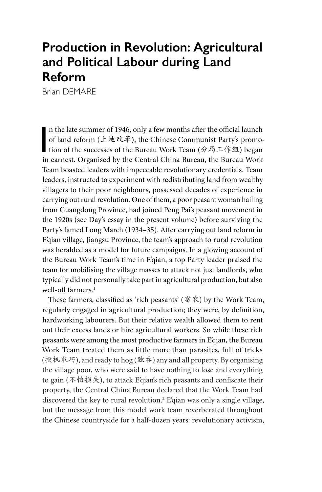## **Production in Revolution: Agricultural and Political Labour during Land Reform**

Brian DEMARE

n the late summer of 1946, only a few months after the official launch<br>of land reform (土地改革), the Chinese Communist Party's promo-<br>tion of the successes of the Bureau Work Team (分局工作组) began<br>in expression or creanised by n the late summer of 1946, only a few months after the official launch of land reform (土地改革), the Chinese Communist Party's promoin earnest. Organised by the Central China Bureau, the Bureau Work Team boasted leaders with impeccable revolutionary credentials. Team leaders, instructed to experiment with redistributing land from wealthy villagers to their poor neighbours, possessed decades of experience in carrying out rural revolution. One of them, a poor peasant woman hailing from Guangdong Province, had joined Peng Pai's peasant movement in the 1920s (see Day's essay in the present volume) before surviving the Party's famed Long March (1934–35). After carrying out land reform in E'qian village, Jiangsu Province, the team's approach to rural revolution was heralded as a model for future campaigns. In a glowing account of the Bureau Work Team's time in E'qian, a top Party leader praised the team for mobilising the village masses to attack not just landlords, who typically did not personally take part in agricultural production, but also well-off farmers.<sup>1</sup>

These farmers, classified as 'rich peasants' (富农) by the Work Team, regularly engaged in agricultural production; they were, by definition, hardworking labourers. But their relative wealth allowed them to rent out their excess lands or hire agricultural workers. So while these rich peasants were among the most productive farmers in E'qian, the Bureau Work Team treated them as little more than parasites, full of tricks (投机取巧), and ready to hog (独吞) any and all property. By organising the village poor, who were said to have nothing to lose and everything to gain (不怕损失), to attack E'qian's rich peasants and confiscate their property, the Central China Bureau declared that the Work Team had discovered the key to rural revolution.2 E'qian was only a single village, but the message from this model work team reverberated throughout the Chinese countryside for a half-dozen years: revolutionary activism,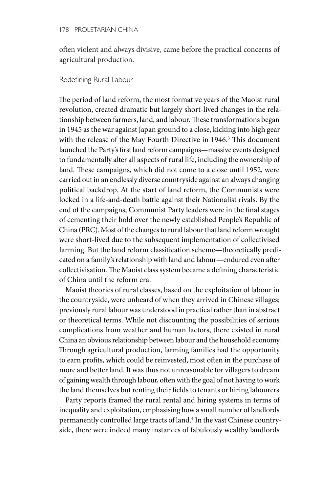often violent and always divisive, came before the practical concerns of agricultural production.

### Redefining Rural Labour

The period of land reform, the most formative years of the Maoist rural revolution, created dramatic but largely short-lived changes in the relationship between farmers, land, and labour. These transformations began in 1945 as the war against Japan ground to a close, kicking into high gear with the release of the May Fourth Directive in 1946.<sup>3</sup> This document launched the Party's first land reform campaigns—massive events designed to fundamentally alter all aspects of rural life, including the ownership of land. These campaigns, which did not come to a close until 1952, were carried out in an endlessly diverse countryside against an always changing political backdrop. At the start of land reform, the Communists were locked in a life-and-death battle against their Nationalist rivals. By the end of the campaigns, Communist Party leaders were in the final stages of cementing their hold over the newly established People's Republic of China (PRC). Most of the changes to rural labour that land reform wrought were short-lived due to the subsequent implementation of collectivised farming. But the land reform classification scheme—theoretically predicated on a family's relationship with land and labour—endured even after collectivisation. The Maoist class system became a defining characteristic of China until the reform era.

Maoist theories of rural classes, based on the exploitation of labour in the countryside, were unheard of when they arrived in Chinese villages; previously rural labour was understood in practical rather than in abstract or theoretical terms. While not discounting the possibilities of serious complications from weather and human factors, there existed in rural China an obvious relationship between labour and the household economy. Through agricultural production, farming families had the opportunity to earn profits, which could be reinvested, most often in the purchase of more and better land. It was thus not unreasonable for villagers to dream of gaining wealth through labour, often with the goal of not having to work the land themselves but renting their fields to tenants or hiring labourers.

Party reports framed the rural rental and hiring systems in terms of inequality and exploitation, emphasising how a small number of landlords permanently controlled large tracts of land.<sup>4</sup> In the vast Chinese countryside, there were indeed many instances of fabulously wealthy landlords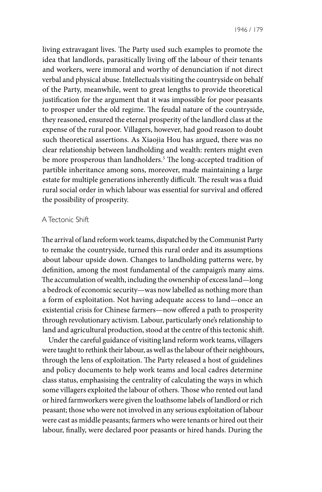1946 / 179

living extravagant lives. The Party used such examples to promote the idea that landlords, parasitically living off the labour of their tenants and workers, were immoral and worthy of denunciation if not direct verbal and physical abuse. Intellectuals visiting the countryside on behalf of the Party, meanwhile, went to great lengths to provide theoretical justification for the argument that it was impossible for poor peasants to prosper under the old regime. The feudal nature of the countryside, they reasoned, ensured the eternal prosperity of the landlord class at the expense of the rural poor. Villagers, however, had good reason to doubt such theoretical assertions. As Xiaojia Hou has argued, there was no clear relationship between landholding and wealth: renters might even be more prosperous than landholders.5 The long-accepted tradition of partible inheritance among sons, moreover, made maintaining a large estate for multiple generations inherently difficult. The result was a fluid rural social order in which labour was essential for survival and offered the possibility of prosperity.

#### A Tectonic Shift

The arrival of land reform work teams, dispatched by the Communist Party to remake the countryside, turned this rural order and its assumptions about labour upside down. Changes to landholding patterns were, by definition, among the most fundamental of the campaign's many aims. The accumulation of wealth, including the ownership of excess land—long a bedrock of economic security—was now labelled as nothing more than a form of exploitation. Not having adequate access to land—once an existential crisis for Chinese farmers—now offered a path to prosperity through revolutionary activism. Labour, particularly one's relationship to land and agricultural production, stood at the centre of this tectonic shift.

Under the careful guidance of visiting land reform work teams, villagers were taught to rethink their labour, as well as the labour of their neighbours, through the lens of exploitation. The Party released a host of guidelines and policy documents to help work teams and local cadres determine class status, emphasising the centrality of calculating the ways in which some villagers exploited the labour of others. Those who rented out land or hired farmworkers were given the loathsome labels of landlord or rich peasant; those who were not involved in any serious exploitation of labour were cast as middle peasants; farmers who were tenants or hired out their labour, finally, were declared poor peasants or hired hands. During the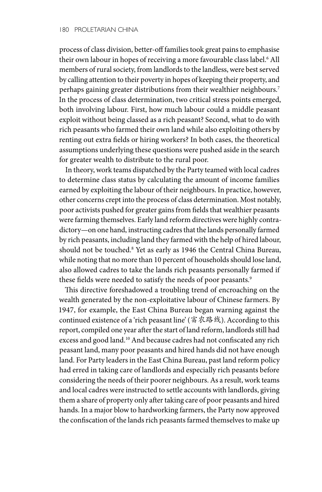process of class division, better-off families took great pains to emphasise their own labour in hopes of receiving a more favourable class label.6 All members of rural society, from landlords to the landless, were best served by calling attention to their poverty in hopes of keeping their property, and perhaps gaining greater distributions from their wealthier neighbours.<sup>7</sup> In the process of class determination, two critical stress points emerged, both involving labour. First, how much labour could a middle peasant exploit without being classed as a rich peasant? Second, what to do with rich peasants who farmed their own land while also exploiting others by renting out extra fields or hiring workers? In both cases, the theoretical assumptions underlying these questions were pushed aside in the search for greater wealth to distribute to the rural poor.

In theory, work teams dispatched by the Party teamed with local cadres to determine class status by calculating the amount of income families earned by exploiting the labour of their neighbours. In practice, however, other concerns crept into the process of class determination. Most notably, poor activists pushed for greater gains from fields that wealthier peasants were farming themselves. Early land reform directives were highly contradictory—on one hand, instructing cadres that the lands personally farmed by rich peasants, including land they farmed with the help of hired labour, should not be touched.8 Yet as early as 1946 the Central China Bureau, while noting that no more than 10 percent of households should lose land, also allowed cadres to take the lands rich peasants personally farmed if these fields were needed to satisfy the needs of poor peasants.<sup>9</sup>

This directive foreshadowed a troubling trend of encroaching on the wealth generated by the non-exploitative labour of Chinese farmers. By 1947, for example, the East China Bureau began warning against the continued existence of a 'rich peasant line' (富农路线). According to this report, compiled one year after the start of land reform, landlords still had excess and good land.10 And because cadres had not confiscated any rich peasant land, many poor peasants and hired hands did not have enough land. For Party leaders in the East China Bureau, past land reform policy had erred in taking care of landlords and especially rich peasants before considering the needs of their poorer neighbours. As a result, work teams and local cadres were instructed to settle accounts with landlords, giving them a share of property only after taking care of poor peasants and hired hands. In a major blow to hardworking farmers, the Party now approved the confiscation of the lands rich peasants farmed themselves to make up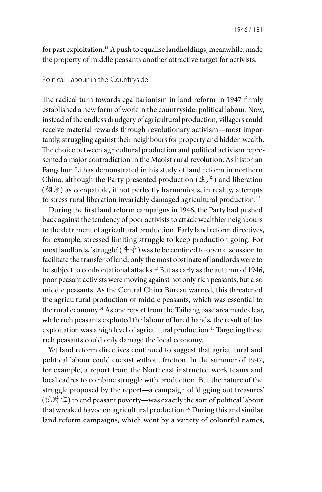for past exploitation.<sup>11</sup> A push to equalise landholdings, meanwhile, made the property of middle peasants another attractive target for activists.

#### Political Labour in the Countryside

The radical turn towards egalitarianism in land reform in 1947 firmly established a new form of work in the countryside: political labour. Now, instead of the endless drudgery of agricultural production, villagers could receive material rewards through revolutionary activism—most importantly, struggling against their neighbours for property and hidden wealth. The choice between agricultural production and political activism represented a major contradiction in the Maoist rural revolution. As historian Fangchun Li has demonstrated in his study of land reform in northern China, although the Party presented production  $(\pm \vec{r})$  and liberation (翻身) as compatible, if not perfectly harmonious, in reality, attempts to stress rural liberation invariably damaged agricultural production.<sup>12</sup>

During the first land reform campaigns in 1946, the Party had pushed back against the tendency of poor activists to attack wealthier neighbours to the detriment of agricultural production. Early land reform directives, for example, stressed limiting struggle to keep production going. For most landlords, 'struggle' (斗争) was to be confined to open discussion to facilitate the transfer of land; only the most obstinate of landlords were to be subject to confrontational attacks.13 But as early as the autumn of 1946, poor peasant activists were moving against not only rich peasants, but also middle peasants. As the Central China Bureau warned, this threatened the agricultural production of middle peasants, which was essential to the rural economy.<sup>14</sup> As one report from the Taihang base area made clear, while rich peasants exploited the labour of hired hands, the result of this exploitation was a high level of agricultural production.<sup>15</sup> Targeting these rich peasants could only damage the local economy.

Yet land reform directives continued to suggest that agricultural and political labour could coexist without friction. In the summer of 1947, for example, a report from the Northeast instructed work teams and local cadres to combine struggle with production. But the nature of the struggle proposed by the report—a campaign of 'digging out treasures' (挖财宝) to end peasant poverty—was exactly the sort of political labour that wreaked havoc on agricultural production.16 During this and similar land reform campaigns, which went by a variety of colourful names,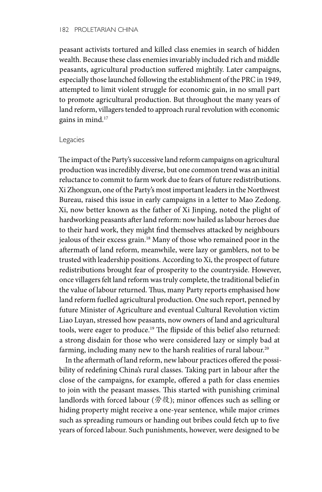#### 182 PROLETARIAN CHINA

peasant activists tortured and killed class enemies in search of hidden wealth. Because these class enemies invariably included rich and middle peasants, agricultural production suffered mightily. Later campaigns, especially those launched following the establishment of the PRC in 1949, attempted to limit violent struggle for economic gain, in no small part to promote agricultural production. But throughout the many years of land reform, villagers tended to approach rural revolution with economic gains in mind.17

#### Legacies

The impact of the Party's successive land reform campaigns on agricultural production was incredibly diverse, but one common trend was an initial reluctance to commit to farm work due to fears of future redistributions. Xi Zhongxun, one of the Party's most important leaders in the Northwest Bureau, raised this issue in early campaigns in a letter to Mao Zedong. Xi, now better known as the father of Xi Jinping, noted the plight of hardworking peasants after land reform: now hailed as labour heroes due to their hard work, they might find themselves attacked by neighbours jealous of their excess grain.<sup>18</sup> Many of those who remained poor in the aftermath of land reform, meanwhile, were lazy or gamblers, not to be trusted with leadership positions. According to Xi, the prospect of future redistributions brought fear of prosperity to the countryside. However, once villagers felt land reform was truly complete, the traditional belief in the value of labour returned. Thus, many Party reports emphasised how land reform fuelled agricultural production. One such report, penned by future Minister of Agriculture and eventual Cultural Revolution victim Liao Luyan, stressed how peasants, now owners of land and agricultural tools, were eager to produce.<sup>19</sup> The flipside of this belief also returned: a strong disdain for those who were considered lazy or simply bad at farming, including many new to the harsh realities of rural labour.<sup>20</sup>

In the aftermath of land reform, new labour practices offered the possibility of redefining China's rural classes. Taking part in labour after the close of the campaigns, for example, offered a path for class enemies to join with the peasant masses. This started with punishing criminal landlords with forced labour (劳役); minor offences such as selling or hiding property might receive a one-year sentence, while major crimes such as spreading rumours or handing out bribes could fetch up to five years of forced labour. Such punishments, however, were designed to be